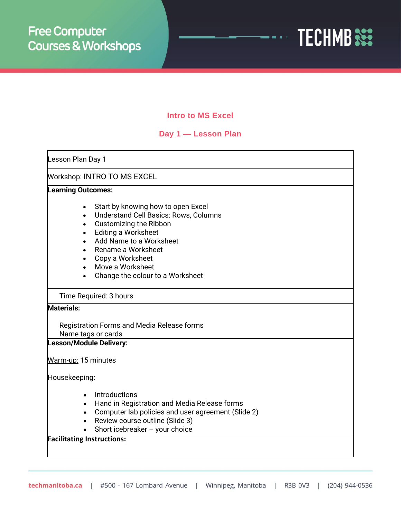

## **Intro to MS Excel**

## **Day 1 — Lesson Plan**

Lesson Plan Day 1 Workshop: INTRO TO MS EXCEL **Learning Outcomes:** • Start by knowing how to open Excel • Understand Cell Basics: Rows, Columns • Customizing the Ribbon • Editing a Worksheet • Add Name to a Worksheet • Rename a Worksheet • Copy a Worksheet • Move a Worksheet • Change the colour to a Worksheet Time Required: 3 hours **Materials:** Registration Forms and Media Release forms Name tags or cards **Lesson/Module Delivery:** Warm-up: 15 minutes Housekeeping:

- Introductions
- Hand in Registration and Media Release forms
- Computer lab policies and user agreement (Slide 2)
- Review course outline (Slide 3)
- Short icebreaker your choice

# **Facilitating Instructions:**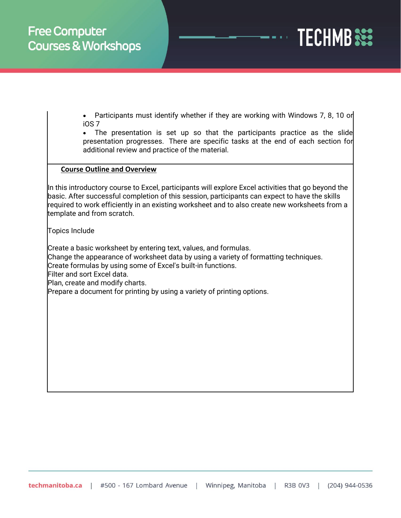

Participants must identify whether if they are working with Windows 7, 8, 10 or iOS 7

The presentation is set up so that the participants practice as the slide presentation progresses. There are specific tasks at the end of each section for additional review and practice of the material.

#### **Course Outline and Overview**

In this introductory course to Excel, participants will explore Excel activities that go beyond the basic. After successful completion of this session, participants can expect to have the skills required to work efficiently in an existing worksheet and to also create new worksheets from a template and from scratch.

Topics Include

Create a basic worksheet by entering text, values, and formulas.

Change the appearance of worksheet data by using a variety of formatting techniques. Create formulas by using some of Excel's built-in functions.

Filter and sort Excel data.

Plan, create and modify charts.

Prepare a document for printing by using a variety of printing options.